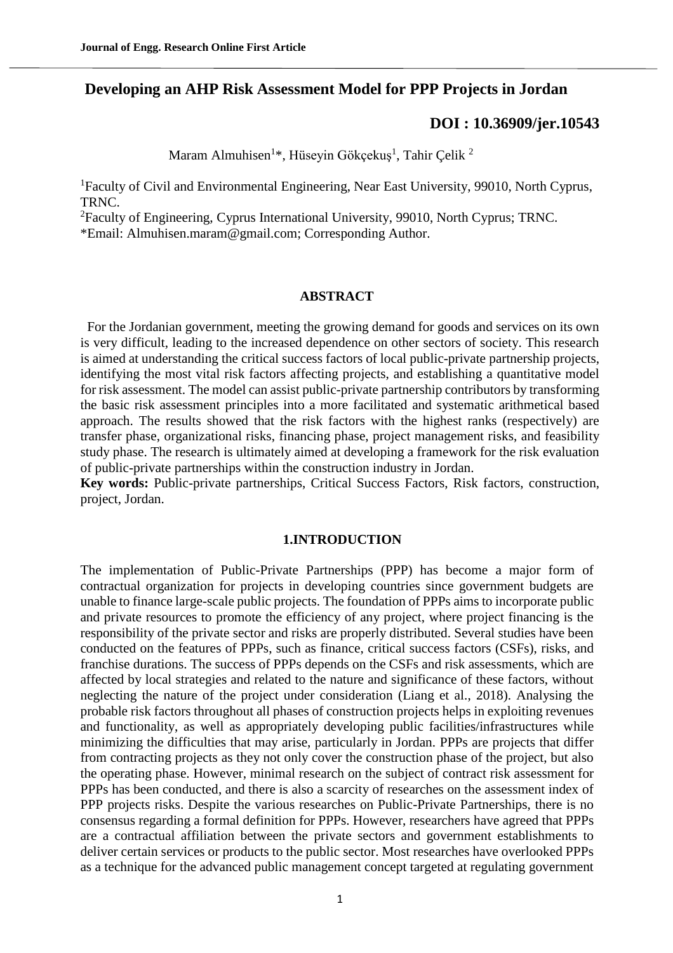# **Developing an AHP Risk Assessment Model for PPP Projects in Jordan**

## **[DOI : 10.36909/jer.10543](https://doi.org/10.36909/jer.10543)**

Maram Almuhisen<sup>1\*</sup>, Hüseyin Gökçekuş<sup>1</sup>, Tahir Çelik<sup>2</sup>

<sup>1</sup>Faculty of Civil and Environmental Engineering, Near East University, 99010, North Cyprus, TRNC.

<sup>2</sup>Faculty of Engineering, Cyprus International University, 99010, North Cyprus; TRNC.

\*Email: Almuhisen.maram@gmail.com; Corresponding Author.

#### **ABSTRACT**

 For the Jordanian government, meeting the growing demand for goods and services on its own is very difficult, leading to the increased dependence on other sectors of society. This research is aimed at understanding the critical success factors of local public-private partnership projects, identifying the most vital risk factors affecting projects, and establishing a quantitative model for risk assessment. The model can assist public-private partnership contributors by transforming the basic risk assessment principles into a more facilitated and systematic arithmetical based approach. The results showed that the risk factors with the highest ranks (respectively) are transfer phase, organizational risks, financing phase, project management risks, and feasibility study phase. The research is ultimately aimed at developing a framework for the risk evaluation of public-private partnerships within the construction industry in Jordan.

**Key words:** Public-private partnerships, Critical Success Factors, Risk factors, construction, project, Jordan.

#### **1.INTRODUCTION**

The implementation of Public-Private Partnerships (PPP) has become a major form of contractual organization for projects in developing countries since government budgets are unable to finance large-scale public projects. The foundation of PPPs aims to incorporate public and private resources to promote the efficiency of any project, where project financing is the responsibility of the private sector and risks are properly distributed. Several studies have been conducted on the features of PPPs, such as finance, critical success factors (CSFs), risks, and franchise durations. The success of PPPs depends on the CSFs and risk assessments, which are affected by local strategies and related to the nature and significance of these factors, without neglecting the nature of the project under consideration (Liang et al., 2018). Analysing the probable risk factors throughout all phases of construction projects helps in exploiting revenues and functionality, as well as appropriately developing public facilities/infrastructures while minimizing the difficulties that may arise, particularly in Jordan. PPPs are projects that differ from contracting projects as they not only cover the construction phase of the project, but also the operating phase. However, minimal research on the subject of contract risk assessment for PPPs has been conducted, and there is also a scarcity of researches on the assessment index of PPP projects risks. Despite the various researches on Public-Private Partnerships, there is no consensus regarding a formal definition for PPPs. However, researchers have agreed that PPPs are a contractual affiliation between the private sectors and government establishments to deliver certain services or products to the public sector. Most researches have overlooked PPPs as a technique for the advanced public management concept targeted at regulating government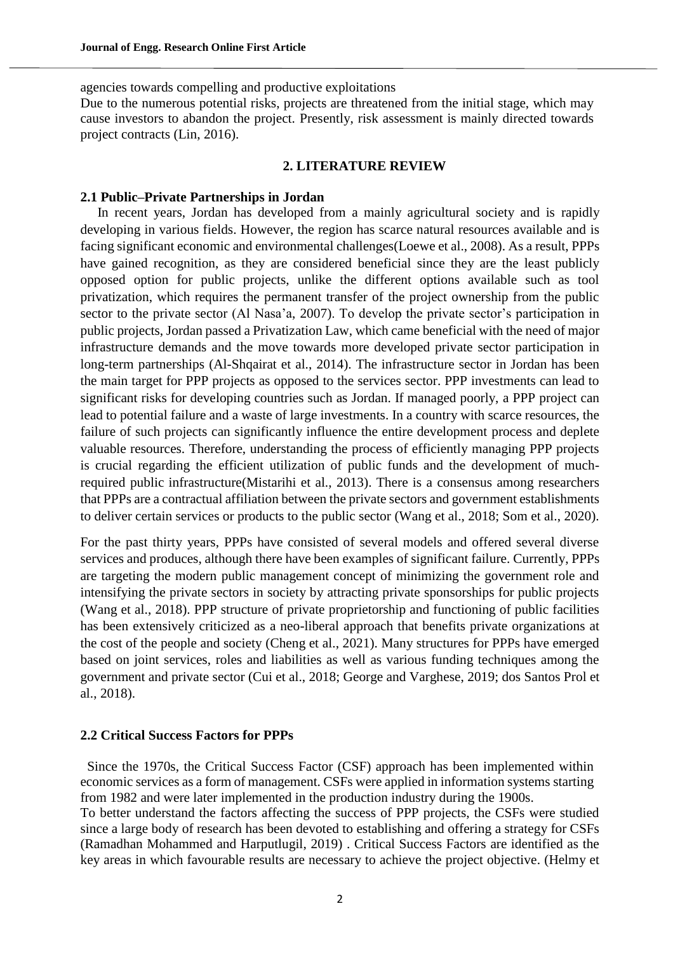agencies towards compelling and productive exploitations

Due to the numerous potential risks, projects are threatened from the initial stage, which may cause investors to abandon the project. Presently, risk assessment is mainly directed towards project contracts (Lin, 2016).

#### **2. LITERATURE REVIEW**

#### **2.1 Public–Private Partnerships in Jordan**

 In recent years, Jordan has developed from a mainly agricultural society and is rapidly developing in various fields. However, the region has scarce natural resources available and is facing significant economic and environmental challenges(Loewe et al., 2008). As a result, PPPs have gained recognition, as they are considered beneficial since they are the least publicly opposed option for public projects, unlike the different options available such as tool privatization, which requires the permanent transfer of the project ownership from the public sector to the private sector (Al Nasa'a, 2007). To develop the private sector's participation in public projects, Jordan passed a Privatization Law, which came beneficial with the need of major infrastructure demands and the move towards more developed private sector participation in long-term partnerships (Al-Shqairat et al., 2014). The infrastructure sector in Jordan has been the main target for PPP projects as opposed to the services sector. PPP investments can lead to significant risks for developing countries such as Jordan. If managed poorly, a PPP project can lead to potential failure and a waste of large investments. In a country with scarce resources, the failure of such projects can significantly influence the entire development process and deplete valuable resources. Therefore, understanding the process of efficiently managing PPP projects is crucial regarding the efficient utilization of public funds and the development of muchrequired public infrastructure(Mistarihi et al., 2013). There is a consensus among researchers that PPPs are a contractual affiliation between the private sectors and government establishments to deliver certain services or products to the public sector (Wang et al., 2018; Som et al., 2020).

For the past thirty years, PPPs have consisted of several models and offered several diverse services and produces, although there have been examples of significant failure. Currently, PPPs are targeting the modern public management concept of minimizing the government role and intensifying the private sectors in society by attracting private sponsorships for public projects (Wang et al., 2018). PPP structure of private proprietorship and functioning of public facilities has been extensively criticized as a neo-liberal approach that benefits private organizations at the cost of the people and society (Cheng et al., 2021). Many structures for PPPs have emerged based on joint services, roles and liabilities as well as various funding techniques among the government and private sector (Cui et al., 2018; George and Varghese, 2019; dos Santos Prol et al., 2018).

#### **2.2 Critical Success Factors for PPPs**

 Since the 1970s, the Critical Success Factor (CSF) approach has been implemented within economic services as a form of management. CSFs were applied in information systems starting from 1982 and were later implemented in the production industry during the 1900s.

To better understand the factors affecting the success of PPP projects, the CSFs were studied since a large body of research has been devoted to establishing and offering a strategy for CSFs (Ramadhan Mohammed and Harputlugil, 2019) . Critical Success Factors are identified as the key areas in which favourable results are necessary to achieve the project objective. (Helmy et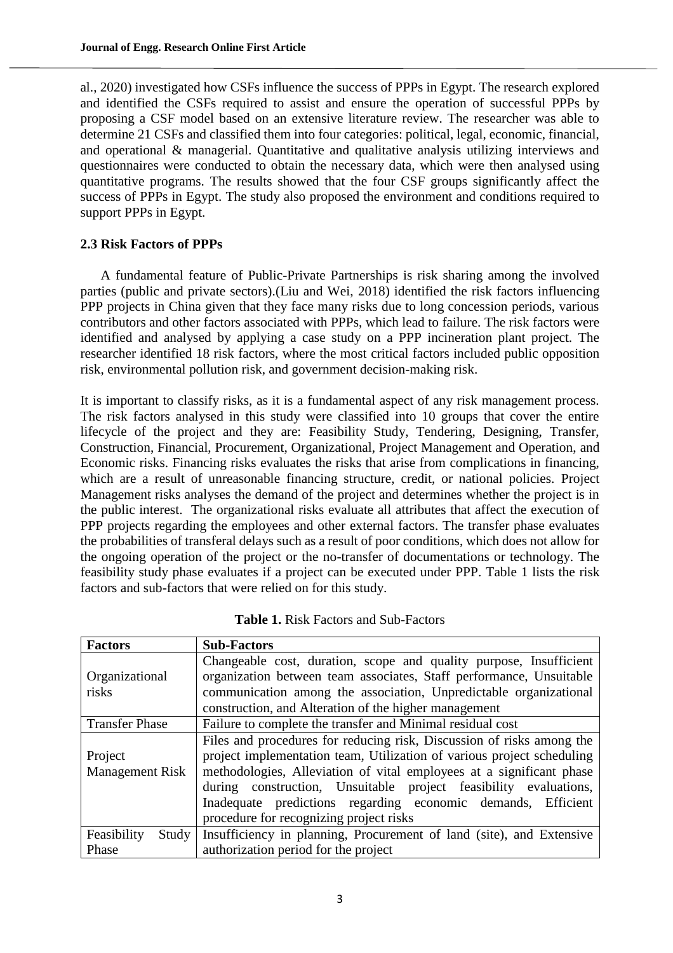al., 2020) investigated how CSFs influence the success of PPPs in Egypt. The research explored and identified the CSFs required to assist and ensure the operation of successful PPPs by proposing a CSF model based on an extensive literature review. The researcher was able to determine 21 CSFs and classified them into four categories: political, legal, economic, financial, and operational & managerial. Quantitative and qualitative analysis utilizing interviews and questionnaires were conducted to obtain the necessary data, which were then analysed using quantitative programs. The results showed that the four CSF groups significantly affect the success of PPPs in Egypt. The study also proposed the environment and conditions required to support PPPs in Egypt.

## **2.3 Risk Factors of PPPs**

A fundamental feature of Public-Private Partnerships is risk sharing among the involved parties (public and private sectors).(Liu and Wei, 2018) identified the risk factors influencing PPP projects in China given that they face many risks due to long concession periods, various contributors and other factors associated with PPPs, which lead to failure. The risk factors were identified and analysed by applying a case study on a PPP incineration plant project. The researcher identified 18 risk factors, where the most critical factors included public opposition risk, environmental pollution risk, and government decision-making risk.

It is important to classify risks, as it is a fundamental aspect of any risk management process. The risk factors analysed in this study were classified into 10 groups that cover the entire lifecycle of the project and they are: Feasibility Study, Tendering, Designing, Transfer, Construction, Financial, Procurement, Organizational, Project Management and Operation, and Economic risks. Financing risks evaluates the risks that arise from complications in financing, which are a result of unreasonable financing structure, credit, or national policies. Project Management risks analyses the demand of the project and determines whether the project is in the public interest. The organizational risks evaluate all attributes that affect the execution of PPP projects regarding the employees and other external factors. The transfer phase evaluates the probabilities of transferal delays such as a result of poor conditions, which does not allow for the ongoing operation of the project or the no-transfer of documentations or technology. The feasibility study phase evaluates if a project can be executed under PPP. Table 1 lists the risk factors and sub-factors that were relied on for this study.

| <b>Factors</b>         | <b>Sub-Factors</b>                                                           |
|------------------------|------------------------------------------------------------------------------|
|                        | Changeable cost, duration, scope and quality purpose, Insufficient           |
| Organizational         | organization between team associates, Staff performance, Unsuitable          |
| risks                  | communication among the association, Unpredictable organizational            |
|                        | construction, and Alteration of the higher management                        |
| <b>Transfer Phase</b>  | Failure to complete the transfer and Minimal residual cost                   |
|                        | Files and procedures for reducing risk, Discussion of risks among the        |
| Project                | project implementation team, Utilization of various project scheduling       |
| <b>Management Risk</b> | methodologies, Alleviation of vital employees at a significant phase         |
|                        | during construction, Unsuitable project feasibility evaluations,             |
|                        | Inadequate predictions regarding economic demands, Efficient                 |
|                        | procedure for recognizing project risks                                      |
| Feasibility            | Study   Insufficiency in planning, Procurement of land (site), and Extensive |
| Phase                  | authorization period for the project                                         |

**Table 1.** Risk Factors and Sub-Factors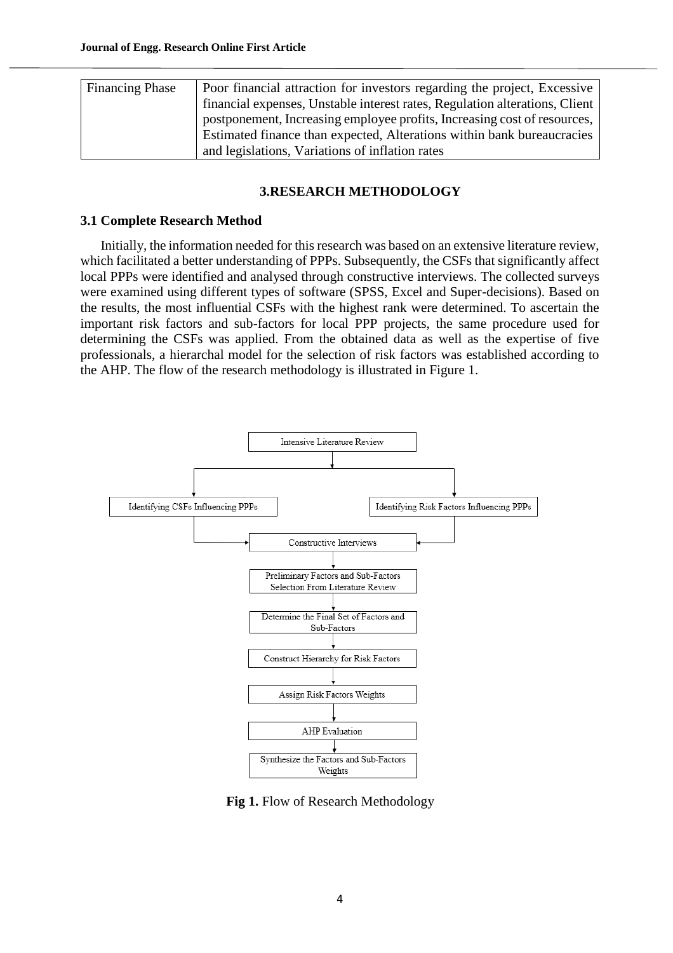| <b>Financing Phase</b> | Poor financial attraction for investors regarding the project, Excessive    |
|------------------------|-----------------------------------------------------------------------------|
|                        | financial expenses, Unstable interest rates, Regulation alterations, Client |
|                        | postponement, Increasing employee profits, Increasing cost of resources,    |
|                        | Estimated finance than expected, Alterations within bank bureaucracies      |
|                        | and legislations, Variations of inflation rates                             |

## **3.RESEARCH METHODOLOGY**

## **3.1 Complete Research Method**

Initially, the information needed for this research was based on an extensive literature review, which facilitated a better understanding of PPPs. Subsequently, the CSFs that significantly affect local PPPs were identified and analysed through constructive interviews. The collected surveys were examined using different types of software (SPSS, Excel and Super-decisions). Based on the results, the most influential CSFs with the highest rank were determined. To ascertain the important risk factors and sub-factors for local PPP projects, the same procedure used for determining the CSFs was applied. From the obtained data as well as the expertise of five professionals, a hierarchal model for the selection of risk factors was established according to the AHP. The flow of the research methodology is illustrated in Figure 1.



 **Fig 1.** Flow of Research Methodology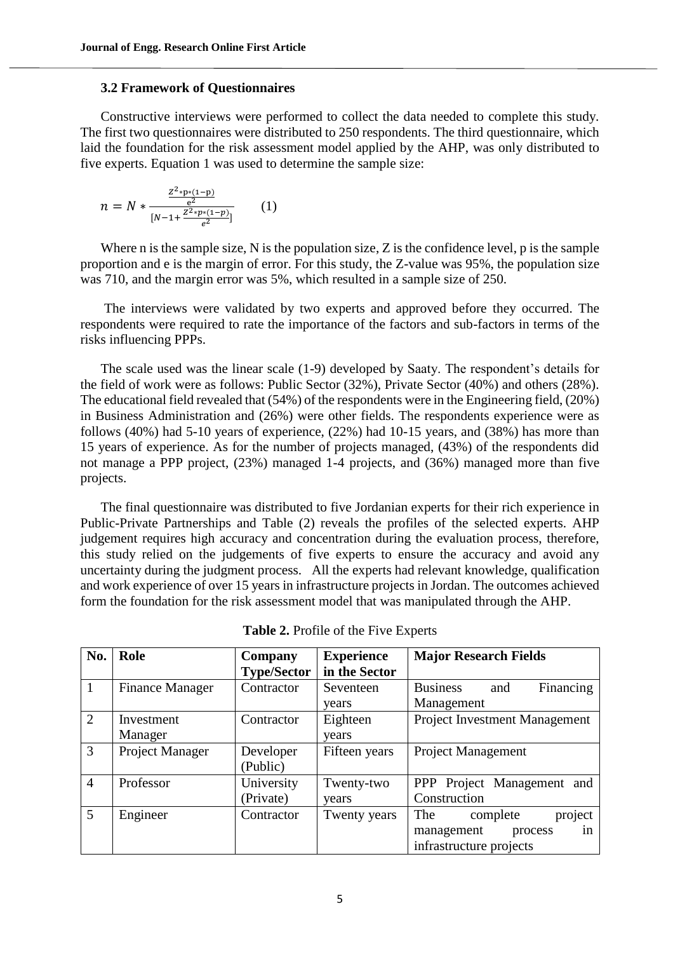#### **3.2 Framework of Questionnaires**

Constructive interviews were performed to collect the data needed to complete this study. The first two questionnaires were distributed to 250 respondents. The third questionnaire, which laid the foundation for the risk assessment model applied by the AHP, was only distributed to five experts. Equation 1 was used to determine the sample size:

$$
n = N * \frac{\frac{Z^2 * p * (1-p)}{e^2}}{[N-1 + \frac{Z^2 * p * (1-p)}{e^2}]} \qquad (1)
$$

Where n is the sample size, N is the population size, Z is the confidence level, p is the sample proportion and e is the margin of error. For this study, the Z-value was 95%, the population size was 710, and the margin error was 5%, which resulted in a sample size of 250.

The interviews were validated by two experts and approved before they occurred. The respondents were required to rate the importance of the factors and sub-factors in terms of the risks influencing PPPs.

The scale used was the linear scale (1-9) developed by Saaty. The respondent's details for the field of work were as follows: Public Sector (32%), Private Sector (40%) and others (28%). The educational field revealed that (54%) of the respondents were in the Engineering field, (20%) in Business Administration and (26%) were other fields. The respondents experience were as follows (40%) had 5-10 years of experience, (22%) had 10-15 years, and (38%) has more than 15 years of experience. As for the number of projects managed, (43%) of the respondents did not manage a PPP project, (23%) managed 1-4 projects, and (36%) managed more than five projects.

The final questionnaire was distributed to five Jordanian experts for their rich experience in Public-Private Partnerships and Table (2) reveals the profiles of the selected experts. AHP judgement requires high accuracy and concentration during the evaluation process, therefore, this study relied on the judgements of five experts to ensure the accuracy and avoid any uncertainty during the judgment process. All the experts had relevant knowledge, qualification and work experience of over 15 years in infrastructure projects in Jordan. The outcomes achieved form the foundation for the risk assessment model that was manipulated through the AHP.

| No.            | Role                   | Company            | <b>Experience</b> | <b>Major Research Fields</b>         |
|----------------|------------------------|--------------------|-------------------|--------------------------------------|
|                |                        | <b>Type/Sector</b> | in the Sector     |                                      |
|                | <b>Finance Manager</b> | Contractor         | Seventeen         | <b>Business</b><br>Financing<br>and  |
|                |                        |                    | years             | Management                           |
| $\overline{2}$ | Investment             | Contractor         | Eighteen          | <b>Project Investment Management</b> |
|                | Manager                |                    | years             |                                      |
| 3              | Project Manager        | Developer          | Fifteen years     | <b>Project Management</b>            |
|                |                        | (Public)           |                   |                                      |
| 4              | Professor              | University         | Twenty-two        | PPP Project Management and           |
|                |                        | (Private)          | years             | Construction                         |
| 5              | Engineer               | Contractor         | Twenty years      | project<br>The<br>complete           |
|                |                        |                    |                   | management<br>in<br>process          |
|                |                        |                    |                   | infrastructure projects              |

**Table 2.** Profile of the Five Experts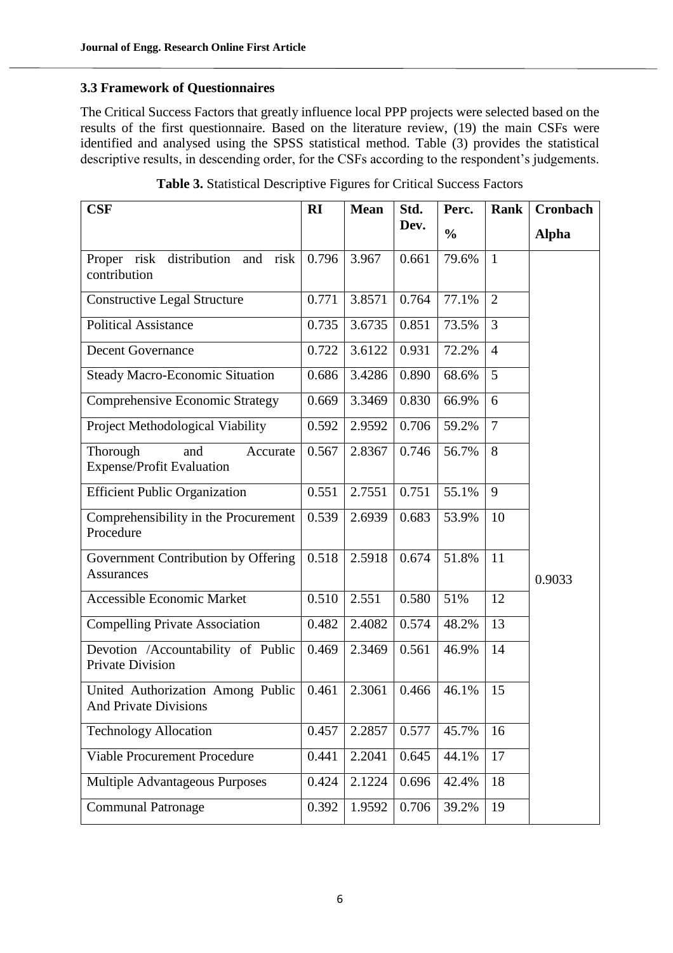## **3.3 Framework of Questionnaires**

The Critical Success Factors that greatly influence local PPP projects were selected based on the results of the first questionnaire. Based on the literature review, (19) the main CSFs were identified and analysed using the SPSS statistical method. Table (3) provides the statistical descriptive results, in descending order, for the CSFs according to the respondent's judgements.

| CSF                                                               | RI    | <b>Mean</b> | Std.  | Perc.         | <b>Rank</b>    | Cronbach     |
|-------------------------------------------------------------------|-------|-------------|-------|---------------|----------------|--------------|
|                                                                   |       |             | Dev.  | $\frac{0}{0}$ |                | <b>Alpha</b> |
| Proper risk<br>distribution<br>risk<br>and<br>contribution        | 0.796 | 3.967       | 0.661 | 79.6%         | $\mathbf{1}$   |              |
| <b>Constructive Legal Structure</b>                               | 0.771 | 3.8571      | 0.764 | 77.1%         | $\overline{2}$ |              |
| <b>Political Assistance</b>                                       | 0.735 | 3.6735      | 0.851 | 73.5%         | 3              |              |
| <b>Decent Governance</b>                                          | 0.722 | 3.6122      | 0.931 | 72.2%         | $\overline{4}$ |              |
| <b>Steady Macro-Economic Situation</b>                            | 0.686 | 3.4286      | 0.890 | 68.6%         | 5              |              |
| <b>Comprehensive Economic Strategy</b>                            | 0.669 | 3.3469      | 0.830 | 66.9%         | 6              |              |
| Project Methodological Viability                                  | 0.592 | 2.9592      | 0.706 | 59.2%         | $\overline{7}$ |              |
| Thorough<br>and<br>Accurate<br><b>Expense/Profit Evaluation</b>   | 0.567 | 2.8367      | 0.746 | 56.7%         | 8              |              |
| <b>Efficient Public Organization</b>                              | 0.551 | 2.7551      | 0.751 | 55.1%         | 9              |              |
| Comprehensibility in the Procurement<br>Procedure                 | 0.539 | 2.6939      | 0.683 | 53.9%         | 10             |              |
| Government Contribution by Offering<br><b>Assurances</b>          | 0.518 | 2.5918      | 0.674 | 51.8%         | 11             | 0.9033       |
| Accessible Economic Market                                        | 0.510 | 2.551       | 0.580 | 51%           | 12             |              |
| <b>Compelling Private Association</b>                             | 0.482 | 2.4082      | 0.574 | 48.2%         | 13             |              |
| Devotion /Accountability of Public<br>Private Division            | 0.469 | 2.3469      | 0.561 | 46.9%         | 14             |              |
| United Authorization Among Public<br><b>And Private Divisions</b> | 0.461 | 2.3061      | 0.466 | 46.1%         | 15             |              |
| <b>Technology Allocation</b>                                      | 0.457 | 2.2857      | 0.577 | 45.7%         | 16             |              |
| Viable Procurement Procedure                                      | 0.441 | 2.2041      | 0.645 | 44.1%         | 17             |              |
| Multiple Advantageous Purposes                                    | 0.424 | 2.1224      | 0.696 | 42.4%         | 18             |              |
| <b>Communal Patronage</b>                                         | 0.392 | 1.9592      | 0.706 | 39.2%         | 19             |              |

**Table 3.** Statistical Descriptive Figures for Critical Success Factors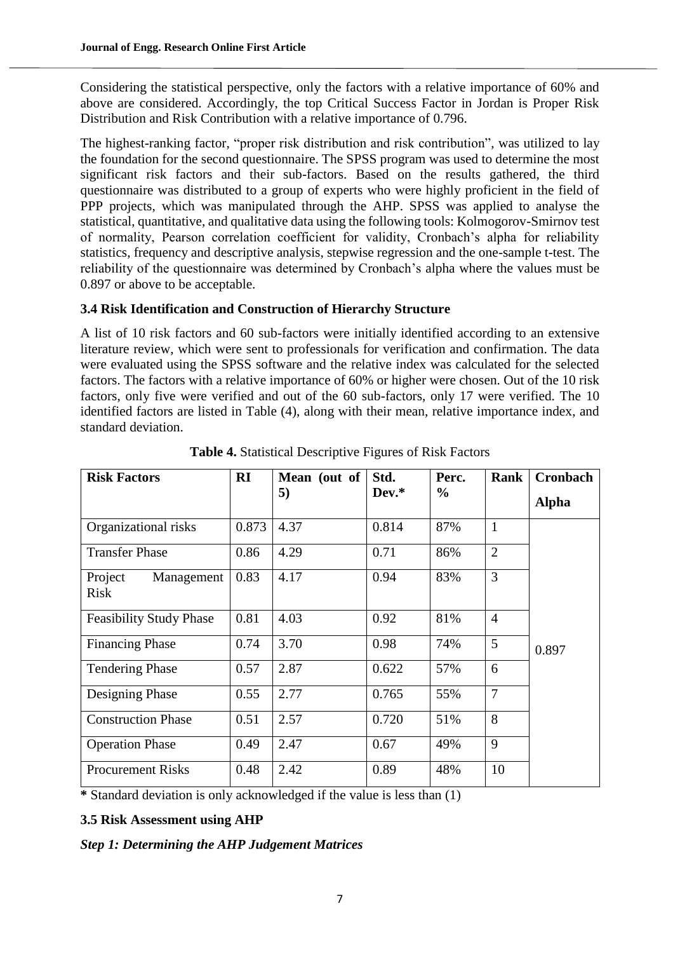Considering the statistical perspective, only the factors with a relative importance of 60% and above are considered. Accordingly, the top Critical Success Factor in Jordan is Proper Risk Distribution and Risk Contribution with a relative importance of 0.796.

The highest-ranking factor, "proper risk distribution and risk contribution", was utilized to lay the foundation for the second questionnaire. The SPSS program was used to determine the most significant risk factors and their sub-factors. Based on the results gathered, the third questionnaire was distributed to a group of experts who were highly proficient in the field of PPP projects, which was manipulated through the AHP. SPSS was applied to analyse the statistical, quantitative, and qualitative data using the following tools: Kolmogorov-Smirnov test of normality, Pearson correlation coefficient for validity, Cronbach's alpha for reliability statistics, frequency and descriptive analysis, stepwise regression and the one-sample t-test. The reliability of the questionnaire was determined by Cronbach's alpha where the values must be 0.897 or above to be acceptable.

## **3.4 Risk Identification and Construction of Hierarchy Structure**

A list of 10 risk factors and 60 sub-factors were initially identified according to an extensive literature review, which were sent to professionals for verification and confirmation. The data were evaluated using the SPSS software and the relative index was calculated for the selected factors. The factors with a relative importance of 60% or higher were chosen. Out of the 10 risk factors, only five were verified and out of the 60 sub-factors, only 17 were verified. The 10 identified factors are listed in Table (4), along with their mean, relative importance index, and standard deviation.

| <b>Risk Factors</b>                  | RI    | Mean (out of | Std.  | Perc. | Rank           | <b>Cronbach</b> |
|--------------------------------------|-------|--------------|-------|-------|----------------|-----------------|
|                                      |       | 5)           | Dev.* | $\%$  |                | <b>Alpha</b>    |
| Organizational risks                 | 0.873 | 4.37         | 0.814 | 87%   | $\mathbf{1}$   |                 |
| <b>Transfer Phase</b>                | 0.86  | 4.29         | 0.71  | 86%   | $\overline{2}$ |                 |
| Project<br>Management<br><b>Risk</b> | 0.83  | 4.17         | 0.94  | 83%   | 3              |                 |
| <b>Feasibility Study Phase</b>       | 0.81  | 4.03         | 0.92  | 81%   | $\overline{4}$ |                 |
| <b>Financing Phase</b>               | 0.74  | 3.70         | 0.98  | 74%   | 5              | 0.897           |
| <b>Tendering Phase</b>               | 0.57  | 2.87         | 0.622 | 57%   | 6              |                 |
| Designing Phase                      | 0.55  | 2.77         | 0.765 | 55%   | $\overline{7}$ |                 |
| <b>Construction Phase</b>            | 0.51  | 2.57         | 0.720 | 51%   | 8              |                 |
| <b>Operation Phase</b>               | 0.49  | 2.47         | 0.67  | 49%   | 9              |                 |
| <b>Procurement Risks</b>             | 0.48  | 2.42         | 0.89  | 48%   | 10             |                 |

**Table 4.** Statistical Descriptive Figures of Risk Factors

**\*** Standard deviation is only acknowledged if the value is less than (1)

## **3.5 Risk Assessment using AHP**

## *Step 1: Determining the AHP Judgement Matrices*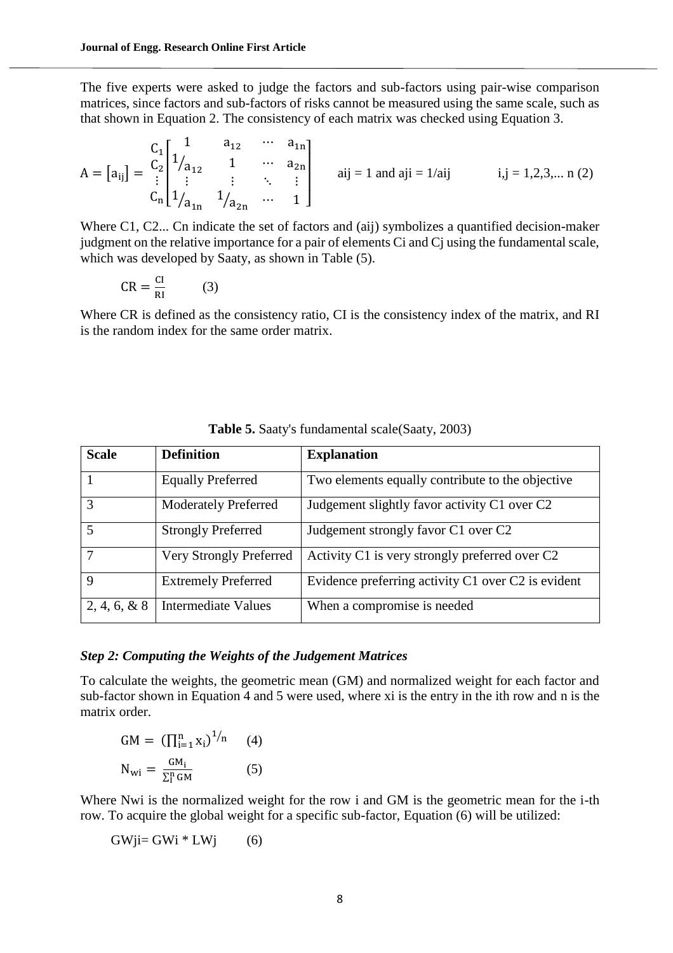The five experts were asked to judge the factors and sub-factors using pair-wise comparison matrices, since factors and sub-factors of risks cannot be measured using the same scale, such as that shown in Equation 2. The consistency of each matrix was checked using Equation 3.

$$
A = [a_{ij}] = \begin{bmatrix} C_1 \\ C_2 \\ \vdots \\ C_n \end{bmatrix} \begin{bmatrix} 1 & a_{12} & \cdots & a_{1n} \\ 1/a_{12} & 1 & \cdots & a_{2n} \\ \vdots & \vdots & \ddots & \vdots \\ 1/a_{1n} & 1/a_{2n} & \cdots & 1 \end{bmatrix}
$$
   
  $aij = 1$  and  $aij = 1/aij$   $i, j = 1, 2, 3, \dots$  n (2)

Where C1, C2... Cn indicate the set of factors and (aij) symbolizes a quantified decision-maker judgment on the relative importance for a pair of elements Ci and Cj using the fundamental scale, which was developed by Saaty, as shown in Table (5).

$$
CR = \frac{CI}{RI} \tag{3}
$$

Where CR is defined as the consistency ratio, CI is the consistency index of the matrix, and RI is the random index for the same order matrix.

| <b>Scale</b>            | <b>Definition</b>           | <b>Explanation</b>                                 |
|-------------------------|-----------------------------|----------------------------------------------------|
|                         | <b>Equally Preferred</b>    | Two elements equally contribute to the objective   |
| 3                       | <b>Moderately Preferred</b> | Judgement slightly favor activity C1 over C2       |
| $\overline{\mathbf{5}}$ | <b>Strongly Preferred</b>   | Judgement strongly favor C1 over C2                |
|                         | Very Strongly Preferred     | Activity C1 is very strongly preferred over C2     |
| 9                       | <b>Extremely Preferred</b>  | Evidence preferring activity C1 over C2 is evident |
| $2, 4, 6, \& 8$         | Intermediate Values         | When a compromise is needed                        |

**Table 5.** Saaty's fundamental scale(Saaty, 2003)

#### *Step 2: Computing the Weights of the Judgement Matrices*

To calculate the weights, the geometric mean (GM) and normalized weight for each factor and sub-factor shown in Equation 4 and 5 were used, where xi is the entry in the ith row and n is the matrix order.

$$
GM = \left(\prod_{i=1}^{n} x_i\right)^{1/n} \qquad (4)
$$

$$
N_{wi} = \frac{GM_i}{\sum_{i=1}^{n} GM} \qquad (5)
$$

Where Nwi is the normalized weight for the row i and GM is the geometric mean for the i-th row. To acquire the global weight for a specific sub-factor, Equation (6) will be utilized:

$$
GWji = GWi * LWj \qquad (6)
$$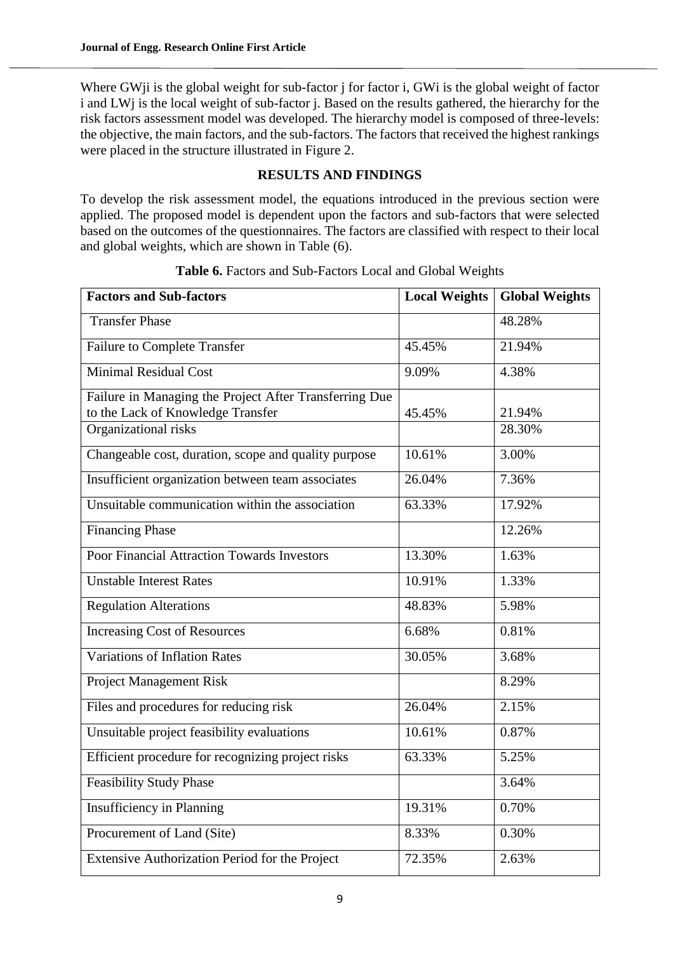Where GW<sub>i</sub> is the global weight for sub-factor j for factor i, GWi is the global weight of factor i and LWj is the local weight of sub-factor j. Based on the results gathered, the hierarchy for the risk factors assessment model was developed. The hierarchy model is composed of three-levels: the objective, the main factors, and the sub-factors. The factors that received the highest rankings were placed in the structure illustrated in Figure 2.

## **RESULTS AND FINDINGS**

To develop the risk assessment model, the equations introduced in the previous section were applied. The proposed model is dependent upon the factors and sub-factors that were selected based on the outcomes of the questionnaires. The factors are classified with respect to their local and global weights, which are shown in Table (6).

| <b>Factors and Sub-factors</b>                                                              | <b>Local Weights</b> | <b>Global Weights</b> |
|---------------------------------------------------------------------------------------------|----------------------|-----------------------|
| <b>Transfer Phase</b>                                                                       |                      | 48.28%                |
| <b>Failure to Complete Transfer</b>                                                         | 45.45%               | 21.94%                |
| <b>Minimal Residual Cost</b>                                                                | 9.09%                | 4.38%                 |
| Failure in Managing the Project After Transferring Due<br>to the Lack of Knowledge Transfer | 45.45%               | 21.94%                |
| Organizational risks                                                                        |                      | 28.30%                |
| Changeable cost, duration, scope and quality purpose                                        | 10.61%               | 3.00%                 |
| Insufficient organization between team associates                                           | 26.04%               | 7.36%                 |
| Unsuitable communication within the association                                             | 63.33%               | 17.92%                |
| <b>Financing Phase</b>                                                                      |                      | 12.26%                |
| <b>Poor Financial Attraction Towards Investors</b>                                          | 13.30%               | 1.63%                 |
| <b>Unstable Interest Rates</b>                                                              | 10.91%               | 1.33%                 |
| <b>Regulation Alterations</b>                                                               | 48.83%               | 5.98%                 |
| <b>Increasing Cost of Resources</b>                                                         | 6.68%                | 0.81%                 |
| <b>Variations of Inflation Rates</b>                                                        | 30.05%               | 3.68%                 |
| <b>Project Management Risk</b>                                                              |                      | 8.29%                 |
| Files and procedures for reducing risk                                                      | 26.04%               | 2.15%                 |
| Unsuitable project feasibility evaluations                                                  | 10.61%               | 0.87%                 |
| Efficient procedure for recognizing project risks                                           | 63.33%               | 5.25%                 |
| <b>Feasibility Study Phase</b>                                                              |                      | 3.64%                 |
| <b>Insufficiency in Planning</b>                                                            | 19.31%               | 0.70%                 |
| Procurement of Land (Site)                                                                  | 8.33%                | 0.30%                 |
| Extensive Authorization Period for the Project                                              | 72.35%               | 2.63%                 |

**Table 6.** Factors and Sub-Factors Local and Global Weights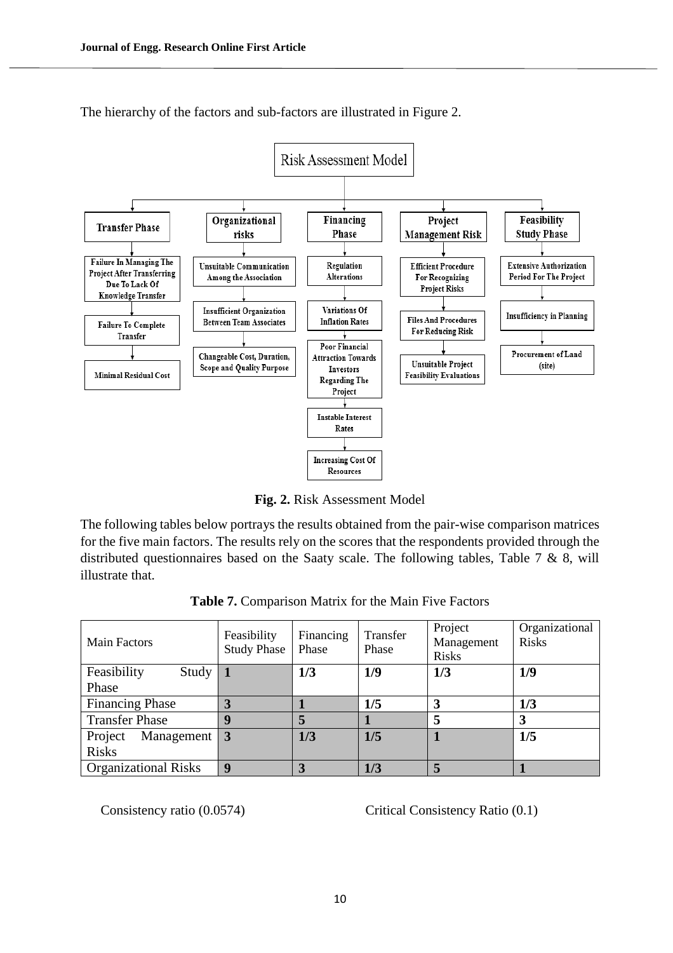

The hierarchy of the factors and sub-factors are illustrated in Figure 2.

**Fig. 2.** Risk Assessment Model

The following tables below portrays the results obtained from the pair-wise comparison matrices for the five main factors. The results rely on the scores that the respondents provided through the distributed questionnaires based on the Saaty scale. The following tables, Table 7 & 8, will illustrate that.

| <b>Table 7.</b> Comparison Matrix for the Main Five Factors |  |
|-------------------------------------------------------------|--|
|-------------------------------------------------------------|--|

| <b>Main Factors</b>                   | Feasibility<br><b>Study Phase</b> | Financing<br>Phase | Transfer<br>Phase | Project<br>Management<br><b>Risks</b> | Organizational<br><b>Risks</b> |
|---------------------------------------|-----------------------------------|--------------------|-------------------|---------------------------------------|--------------------------------|
| Feasibility<br>Study   1              |                                   | 1/3                | 1/9               | 1/3                                   | 1/9                            |
| Phase                                 |                                   |                    |                   |                                       |                                |
| <b>Financing Phase</b>                |                                   |                    | 1/5               |                                       | 1/3                            |
| <b>Transfer Phase</b>                 | g                                 | 5                  |                   |                                       | 3                              |
| Management $\vert 3 \vert$<br>Project |                                   | 1/3                | 1/5               |                                       | 1/5                            |
| <b>Risks</b>                          |                                   |                    |                   |                                       |                                |
| <b>Organizational Risks</b>           | q                                 | 3                  | 1/3               |                                       |                                |

Consistency ratio (0.0574) Critical Consistency Ratio (0.1)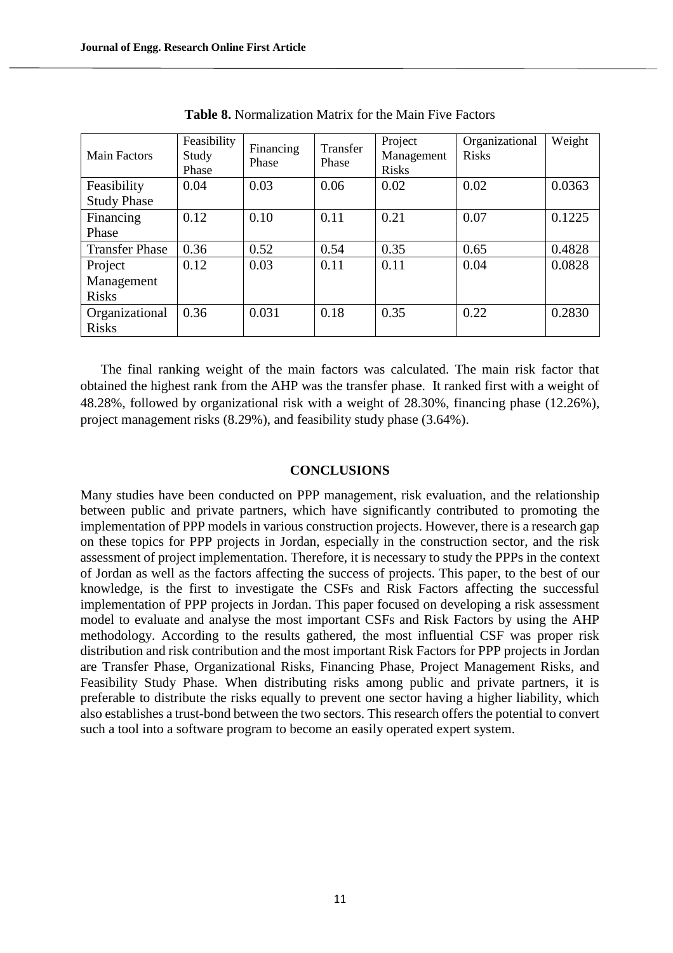| Main Factors          | Feasibility<br>Study<br>Phase | Financing<br>Phase | Transfer<br>Phase | Project<br>Management<br><b>Risks</b> | Organizational<br><b>Risks</b> | Weight |
|-----------------------|-------------------------------|--------------------|-------------------|---------------------------------------|--------------------------------|--------|
| Feasibility           | 0.04                          | 0.03               | 0.06              | 0.02                                  | 0.02                           | 0.0363 |
| <b>Study Phase</b>    |                               |                    |                   |                                       |                                |        |
| Financing             | 0.12                          | 0.10               | 0.11              | 0.21                                  | 0.07                           | 0.1225 |
| Phase                 |                               |                    |                   |                                       |                                |        |
| <b>Transfer Phase</b> | 0.36                          | 0.52               | 0.54              | 0.35                                  | 0.65                           | 0.4828 |
| Project               | 0.12                          | 0.03               | 0.11              | 0.11                                  | 0.04                           | 0.0828 |
| Management            |                               |                    |                   |                                       |                                |        |
| <b>Risks</b>          |                               |                    |                   |                                       |                                |        |
| Organizational        | 0.36                          | 0.031              | 0.18              | 0.35                                  | 0.22                           | 0.2830 |
| <b>Risks</b>          |                               |                    |                   |                                       |                                |        |

**Table 8.** Normalization Matrix for the Main Five Factors

The final ranking weight of the main factors was calculated. The main risk factor that obtained the highest rank from the AHP was the transfer phase. It ranked first with a weight of 48.28%, followed by organizational risk with a weight of 28.30%, financing phase (12.26%), project management risks (8.29%), and feasibility study phase (3.64%).

#### **CONCLUSIONS**

Many studies have been conducted on PPP management, risk evaluation, and the relationship between public and private partners, which have significantly contributed to promoting the implementation of PPP models in various construction projects. However, there is a research gap on these topics for PPP projects in Jordan, especially in the construction sector, and the risk assessment of project implementation. Therefore, it is necessary to study the PPPs in the context of Jordan as well as the factors affecting the success of projects. This paper, to the best of our knowledge, is the first to investigate the CSFs and Risk Factors affecting the successful implementation of PPP projects in Jordan. This paper focused on developing a risk assessment model to evaluate and analyse the most important CSFs and Risk Factors by using the AHP methodology. According to the results gathered, the most influential CSF was proper risk distribution and risk contribution and the most important Risk Factors for PPP projects in Jordan are Transfer Phase, Organizational Risks, Financing Phase, Project Management Risks, and Feasibility Study Phase. When distributing risks among public and private partners, it is preferable to distribute the risks equally to prevent one sector having a higher liability, which also establishes a trust-bond between the two sectors. This research offers the potential to convert such a tool into a software program to become an easily operated expert system.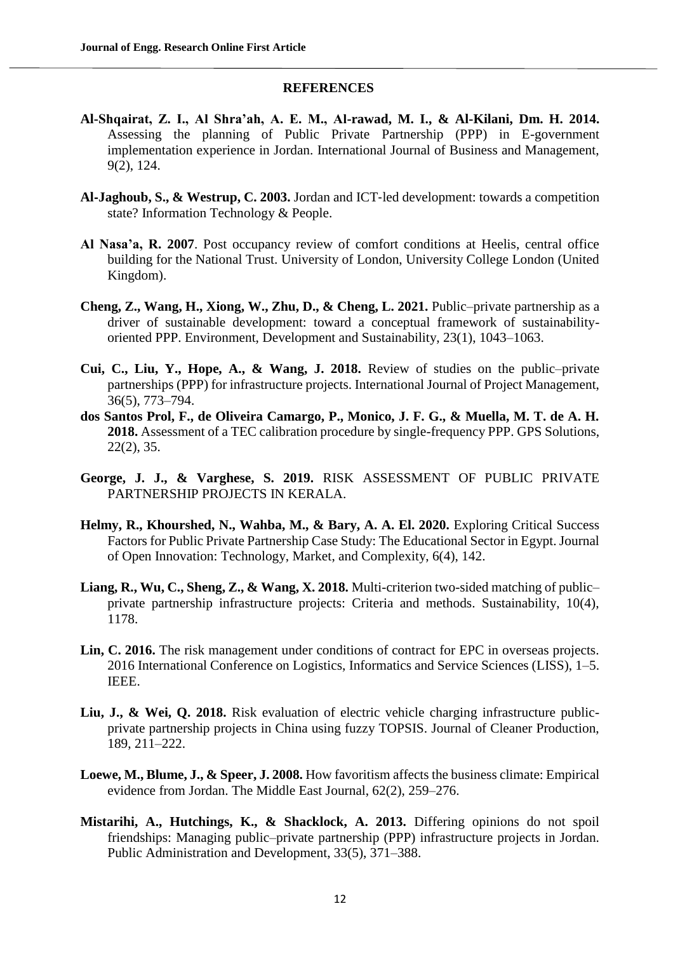#### **REFERENCES**

- **Al-Shqairat, Z. I., Al Shra'ah, A. E. M., Al-rawad, M. I., & Al-Kilani, Dm. H. 2014.** Assessing the planning of Public Private Partnership (PPP) in E-government implementation experience in Jordan. International Journal of Business and Management, 9(2), 124.
- **Al**‐**Jaghoub, S., & Westrup, C. 2003.** Jordan and ICT‐led development: towards a competition state? Information Technology & People.
- **Al Nasa'a, R. 2007**. Post occupancy review of comfort conditions at Heelis, central office building for the National Trust. University of London, University College London (United Kingdom).
- **Cheng, Z., Wang, H., Xiong, W., Zhu, D., & Cheng, L. 2021.** Public–private partnership as a driver of sustainable development: toward a conceptual framework of sustainabilityoriented PPP. Environment, Development and Sustainability, 23(1), 1043–1063.
- **Cui, C., Liu, Y., Hope, A., & Wang, J. 2018.** Review of studies on the public–private partnerships (PPP) for infrastructure projects. International Journal of Project Management, 36(5), 773–794.
- **dos Santos Prol, F., de Oliveira Camargo, P., Monico, J. F. G., & Muella, M. T. de A. H. 2018.** Assessment of a TEC calibration procedure by single-frequency PPP. GPS Solutions, 22(2), 35.
- **George, J. J., & Varghese, S. 2019.** RISK ASSESSMENT OF PUBLIC PRIVATE PARTNERSHIP PROJECTS IN KERALA.
- **Helmy, R., Khourshed, N., Wahba, M., & Bary, A. A. El. 2020.** Exploring Critical Success Factors for Public Private Partnership Case Study: The Educational Sector in Egypt. Journal of Open Innovation: Technology, Market, and Complexity, 6(4), 142.
- **Liang, R., Wu, C., Sheng, Z., & Wang, X. 2018.** Multi-criterion two-sided matching of public– private partnership infrastructure projects: Criteria and methods. Sustainability, 10(4), 1178.
- Lin, C. 2016. The risk management under conditions of contract for EPC in overseas projects. 2016 International Conference on Logistics, Informatics and Service Sciences (LISS), 1–5. IEEE.
- **Liu, J., & Wei, Q. 2018.** Risk evaluation of electric vehicle charging infrastructure publicprivate partnership projects in China using fuzzy TOPSIS. Journal of Cleaner Production, 189, 211–222.
- **Loewe, M., Blume, J., & Speer, J. 2008.** How favoritism affects the business climate: Empirical evidence from Jordan. The Middle East Journal, 62(2), 259–276.
- **Mistarihi, A., Hutchings, K., & Shacklock, A. 2013.** Differing opinions do not spoil friendships: Managing public–private partnership (PPP) infrastructure projects in Jordan. Public Administration and Development, 33(5), 371–388.